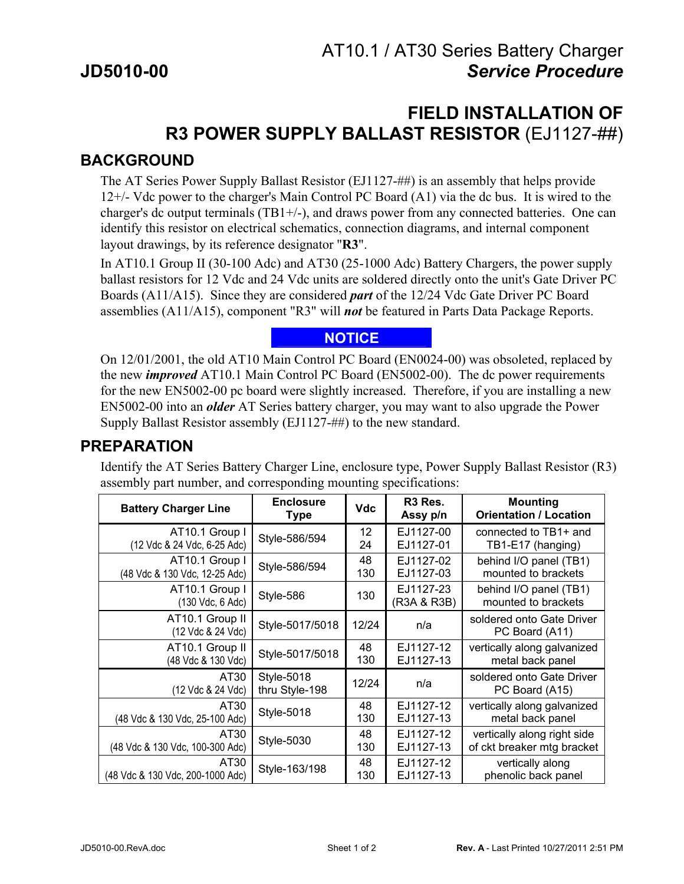# **FIELD INSTALLATION OF R3 POWER SUPPLY BALLAST RESISTOR** (EJ1127-##)

#### **BACKGROUND**

The AT Series Power Supply Ballast Resistor (EJ1127-##) is an assembly that helps provide 12+/- Vdc power to the charger's Main Control PC Board (A1) via the dc bus. It is wired to the charger's dc output terminals  $(TB1+/-)$ , and draws power from any connected batteries. One can identify this resistor on electrical schematics, connection diagrams, and internal component layout drawings, by its reference designator "**R3**".

In AT10.1 Group II (30-100 Adc) and AT30 (25-1000 Adc) Battery Chargers, the power supply ballast resistors for 12 Vdc and 24 Vdc units are soldered directly onto the unit's Gate Driver PC Boards (A11/A15). Since they are considered *part* of the 12/24 Vdc Gate Driver PC Board assemblies (A11/A15), component "R3" will *not* be featured in Parts Data Package Reports.

#### **NOTICE**

On 12/01/2001, the old AT10 Main Control PC Board (EN0024-00) was obsoleted, replaced by the new *improved* AT10.1 Main Control PC Board (EN5002-00). The dc power requirements for the new EN5002-00 pc board were slightly increased. Therefore, if you are installing a new EN5002-00 into an *older* AT Series battery charger, you may want to also upgrade the Power Supply Ballast Resistor assembly (EJ1127-##) to the new standard.

#### **PREPARATION**

Identify the AT Series Battery Charger Line, enclosure type, Power Supply Ballast Resistor (R3) assembly part number, and corresponding mounting specifications:

| <b>Battery Charger Line</b>          | <b>Enclosure</b><br><b>Type</b> | <b>Vdc</b> | R <sub>3</sub> Res.<br>Assy p/n | <b>Mounting</b><br><b>Orientation / Location</b> |
|--------------------------------------|---------------------------------|------------|---------------------------------|--------------------------------------------------|
| AT10.1 Group I                       | Style-586/594                   | 12         | EJ1127-00                       | connected to TB1+ and                            |
| (12 Vdc & 24 Vdc, 6-25 Adc)          |                                 | 24         | EJ1127-01                       | TB1-E17 (hanging)                                |
| AT10.1 Group I                       | Style-586/594                   | 48         | EJ1127-02                       | behind I/O panel (TB1)                           |
| (48 Vdc & 130 Vdc, 12-25 Adc)        |                                 | 130        | EJ1127-03                       | mounted to brackets                              |
| AT10.1 Group I<br>(130 Vdc, 6 Adc)   | Style-586                       | 130        | EJ1127-23<br>(R3A & R3B)        | behind I/O panel (TB1)<br>mounted to brackets    |
| AT10.1 Group II<br>(12 Vdc & 24 Vdc) | Style-5017/5018                 | 12/24      | n/a                             | soldered onto Gate Driver<br>PC Board (A11)      |
| AT10.1 Group II                      | Style-5017/5018                 | 48         | EJ1127-12                       | vertically along galvanized                      |
| (48 Vdc & 130 Vdc)                   |                                 | 130        | EJ1127-13                       | metal back panel                                 |
| AT30<br>(12 Vdc & 24 Vdc)            | Style-5018<br>thru Style-198    | 12/24      | n/a                             | soldered onto Gate Driver<br>PC Board (A15)      |
| AT30                                 | Style-5018                      | 48         | EJ1127-12                       | vertically along galvanized                      |
| (48 Vdc & 130 Vdc, 25-100 Adc)       |                                 | 130        | EJ1127-13                       | metal back panel                                 |
| AT30                                 | <b>Style-5030</b>               | 48         | EJ1127-12                       | vertically along right side                      |
| (48 Vdc & 130 Vdc, 100-300 Adc)      |                                 | 130        | EJ1127-13                       | of ckt breaker mtg bracket                       |
| AT30                                 | Style-163/198                   | 48         | EJ1127-12                       | vertically along                                 |
| (48 Vdc & 130 Vdc, 200-1000 Adc)     |                                 | 130        | EJ1127-13                       | phenolic back panel                              |